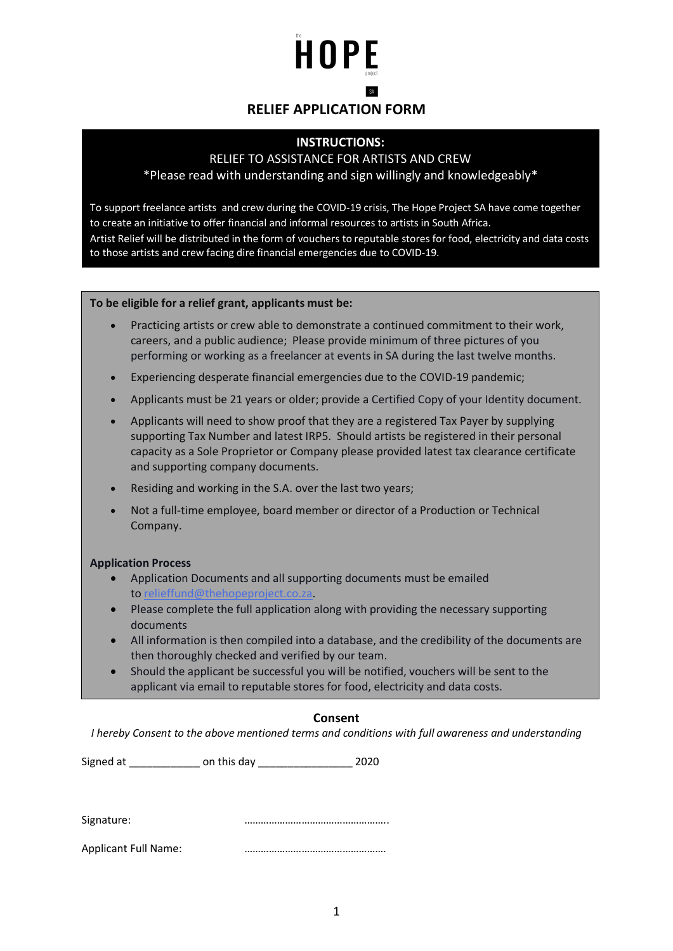# HOPE

## **RELIEF APPLICATION FORM**

#### **INSTRUCTIONS:**

#### RELIEF TO ASSISTANCE FOR ARTISTS AND CREW

\*Please read with understanding and sign willingly and knowledgeably\*

To support freelance artists and crew during the COVID-19 crisis, The Hope Project SA have come together to create an initiative to offer financial and informal resources to artists in South Africa. Artist Relief will be distributed in the form of vouchers to reputable stores for food, electricity and data costs to those artists and crew facing dire financial emergencies due to COVID-19.

**To be eligible for a relief grant, applicants must be:** The COVID-19 crisis, The COVID-19 crisis, The COVID-19 c

- Practicing artists or crew able to demonstrate a continued commitment to their work, financial and informal resources to artists in South Africa. careers, and a public audience; Please provide minimum of three pictures of you performing or working as a freelancer at events in SA during the last twelve months.
- Experiencing desperate financial emergencies due to the COVID-19 pandemic;
- Applicants must be 21 years or older; provide a Certified Copy of your Identity document.
	- Applicants will need to show proof that they are a registered Tax Payer by supplying supporting Tax Number and latest IRP5. Should artists be registered in their personal capacity as a Sole Proprietor or Company please provided latest tax clearance certificate and supporting company documents.
	- Residing and working in the S.A. over the last two years;
	- Not a full-time employee, board member or director of a Production or Technical Company.

#### **Application Process**

- Application Documents and all supporting documents must be emailed to relieffund@thehopeproject.co.za.
- Please complete the full application along with providing the necessary supporting documents
- All information is then compiled into a database, and the credibility of the documents are then thoroughly checked and verified by our team.
- Should the applicant be successful you will be notified, vouchers will be sent to the applicant via email to reputable stores for food, electricity and data costs.

#### **Consent**

*I hereby Consent to the above mentioned terms and conditions with full awareness and understanding*

Signed at \_\_\_\_\_\_\_\_\_\_\_\_ on this day \_\_\_\_\_\_\_\_\_\_\_\_\_\_\_\_ 2020

Signature: **manual contracts** 2010 minimum contracts 2010 minimum contracts 2010 minimum contracts 2010 minimum contracts 2010 minimum contracts 2010 minimum contracts 2010 minimum contracts 2010 minimum contracts 2010 min

Applicant Full Name: manufactured methods with the Applicant Full Name: